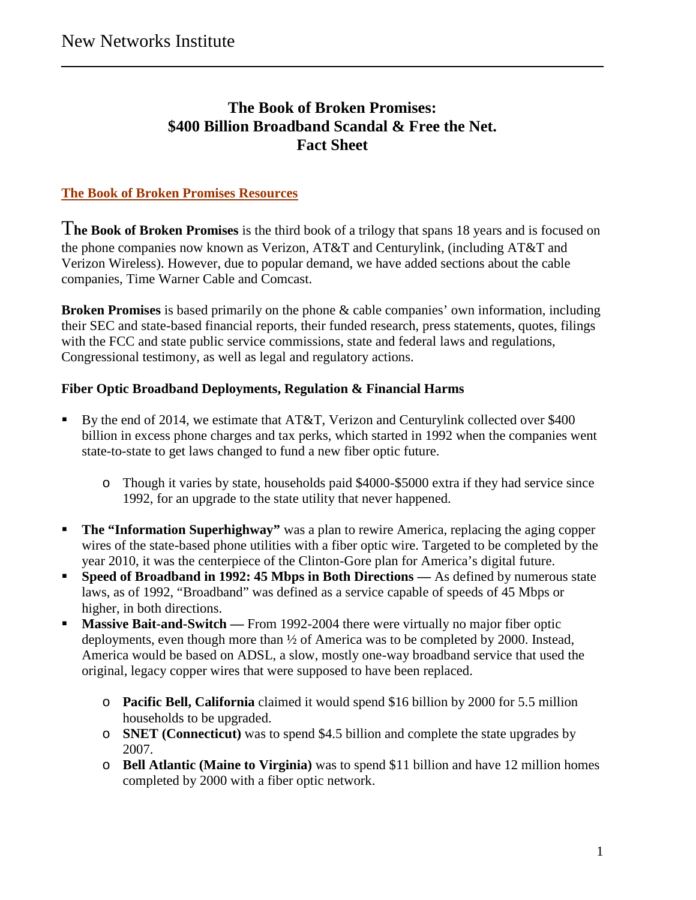# **The Book of Broken Promises: \$400 Billion Broadband Scandal & Free the Net. Fact Sheet**

# **The Book of Broken Promises Resources**

T**he Book of Broken Promises** is the third book of a trilogy that spans 18 years and is focused on the phone companies now known as Verizon, AT&T and Centurylink, (including AT&T and Verizon Wireless). However, due to popular demand, we have added sections about the cable companies, Time Warner Cable and Comcast.

**Broken Promises** is based primarily on the phone & cable companies' own information, including their SEC and state-based financial reports, their funded research, press statements, quotes, filings with the FCC and state public service commissions, state and federal laws and regulations, Congressional testimony, as well as legal and regulatory actions.

## **Fiber Optic Broadband Deployments, Regulation & Financial Harms**

- By the end of 2014, we estimate that AT&T, Verizon and Centurylink collected over \$400 billion in excess phone charges and tax perks, which started in 1992 when the companies went state-to-state to get laws changed to fund a new fiber optic future.
	- o Though it varies by state, households paid \$4000-\$5000 extra if they had service since 1992, for an upgrade to the state utility that never happened.
- **The "Information Superhighway"** was a plan to rewire America, replacing the aging copper wires of the state-based phone utilities with a fiber optic wire. Targeted to be completed by the year 2010, it was the centerpiece of the Clinton-Gore plan for America's digital future.
- **Speed of Broadband in 1992: 45 Mbps in Both Directions —** As defined by numerous state laws, as of 1992, "Broadband" was defined as a service capable of speeds of 45 Mbps or higher, in both directions.
- **Massive Bait-and-Switch —** From 1992-2004 there were virtually no major fiber optic deployments, even though more than ½ of America was to be completed by 2000. Instead, America would be based on ADSL, a slow, mostly one-way broadband service that used the original, legacy copper wires that were supposed to have been replaced.
	- o **Pacific Bell, California** claimed it would spend \$16 billion by 2000 for 5.5 million households to be upgraded.
	- o **SNET (Connecticut)** was to spend \$4.5 billion and complete the state upgrades by 2007.
	- o **Bell Atlantic (Maine to Virginia)** was to spend \$11 billion and have 12 million homes completed by 2000 with a fiber optic network.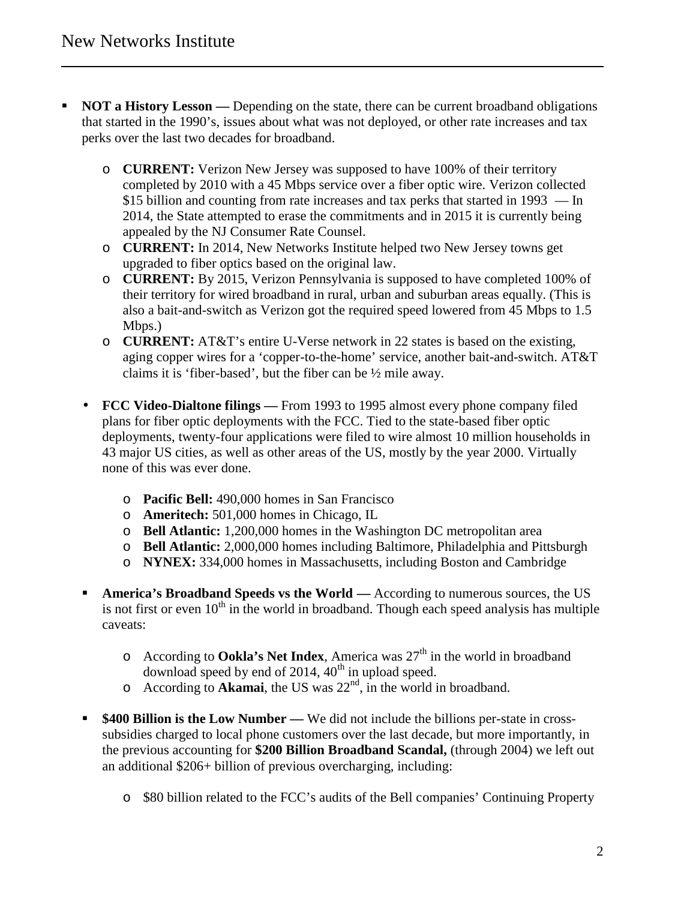- **NOT a History Lesson —** Depending on the state, there can be current broadband obligations that started in the 1990's, issues about what was not deployed, or other rate increases and tax perks over the last two decades for broadband.
	- o **CURRENT:** Verizon New Jersey was supposed to have 100% of their territory completed by 2010 with a 45 Mbps service over a fiber optic wire. Verizon collected \$15 billion and counting from rate increases and tax perks that started in 1993 — In 2014, the State attempted to erase the commitments and in 2015 it is currently being appealed by the NJ Consumer Rate Counsel.
	- o **CURRENT:** In 2014, New Networks Institute helped two New Jersey towns get upgraded to fiber optics based on the original law.
	- o **CURRENT:** By 2015, Verizon Pennsylvania is supposed to have completed 100% of their territory for wired broadband in rural, urban and suburban areas equally. (This is also a bait-and-switch as Verizon got the required speed lowered from 45 Mbps to 1.5 Mbps.)
	- o **CURRENT:** AT&T's entire U-Verse network in 22 states is based on the existing, aging copper wires for a 'copper-to-the-home' service, another bait-and-switch. AT&T claims it is 'fiber-based', but the fiber can be ½ mile away.
	- **FCC Video-Dialtone filings —** From 1993 to 1995 almost every phone company filed plans for fiber optic deployments with the FCC. Tied to the state-based fiber optic deployments, twenty-four applications were filed to wire almost 10 million households in 43 major US cities, as well as other areas of the US, mostly by the year 2000. Virtually none of this was ever done.
		- o **Pacific Bell:** 490,000 homes in San Francisco
		- o **Ameritech:** 501,000 homes in Chicago, IL
		- o **Bell Atlantic:** 1,200,000 homes in the Washington DC metropolitan area
		- o **Bell Atlantic:** 2,000,000 homes including Baltimore, Philadelphia and Pittsburgh
		- o **NYNEX:** 334,000 homes in Massachusetts, including Boston and Cambridge
	- **America's Broadband Speeds vs the World —** According to numerous sources, the US is not first or even  $10^{th}$  in the world in broadband. Though each speed analysis has multiple caveats:
		- o According to **Ookla's Net Index**, America was 27th in the world in broadband download speed by end of 2014,  $40<sup>th</sup>$  in upload speed.
		- $\circ$  According to **Akamai**, the US was  $22<sup>nd</sup>$ , in the world in broadband.
	- **\$400 Billion is the Low Number —** We did not include the billions per-state in crosssubsidies charged to local phone customers over the last decade, but more importantly, in the previous accounting for **\$200 Billion Broadband Scandal,** (through 2004) we left out an additional \$206+ billion of previous overcharging, including:
		- o \$80 billion related to the FCC's audits of the Bell companies' Continuing Property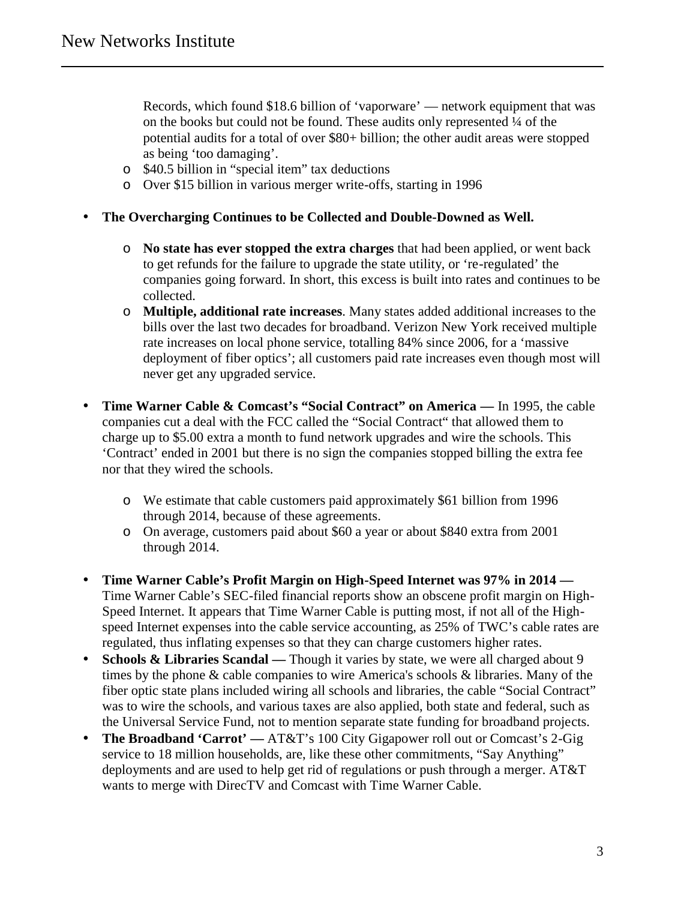Records, which found \$18.6 billion of 'vaporware' — network equipment that was on the books but could not be found. These audits only represented ¼ of the potential audits for a total of over \$80+ billion; the other audit areas were stopped as being 'too damaging'.

- o \$40.5 billion in "special item" tax deductions
- o Over \$15 billion in various merger write-offs, starting in 1996

#### **The Overcharging Continues to be Collected and Double-Downed as Well.**

- o **No state has ever stopped the extra charges** that had been applied, or went back to get refunds for the failure to upgrade the state utility, or 're-regulated' the companies going forward. In short, this excess is built into rates and continues to be collected.
- o **Multiple, additional rate increases**. Many states added additional increases to the bills over the last two decades for broadband. Verizon New York received multiple rate increases on local phone service, totalling 84% since 2006, for a 'massive deployment of fiber optics'; all customers paid rate increases even though most will never get any upgraded service.
- **Time Warner Cable & Comcast's "Social Contract" on America —** In 1995, the cable companies cut a deal with the FCC called the "Social Contract" that allowed them to charge up to \$5.00 extra a month to fund network upgrades and wire the schools. This 'Contract' ended in 2001 but there is no sign the companies stopped billing the extra fee nor that they wired the schools.
	- o We estimate that cable customers paid approximately \$61 billion from 1996 through 2014, because of these agreements.
	- o On average, customers paid about \$60 a year or about \$840 extra from 2001 through 2014.
- **Time Warner Cable's Profit Margin on High-Speed Internet was 97% in 2014 —** Time Warner Cable's SEC-filed financial reports show an obscene profit margin on High- Speed Internet. It appears that Time Warner Cable is putting most, if not all of the High speed Internet expenses into the cable service accounting, as 25% of TWC's cable rates are regulated, thus inflating expenses so that they can charge customers higher rates.
- **Schools & Libraries Scandal Though it varies by state, we were all charged about 9** times by the phone & cable companies to wire America's schools & libraries. Many of the fiber optic state plans included wiring all schools and libraries, the cable "Social Contract" was to wire the schools, and various taxes are also applied, both state and federal, such as the Universal Service Fund, not to mention separate state funding for broadband projects.
- The Broadband 'Carrot' AT&T's 100 City Gigapower roll out or Comcast's 2-Gig service to 18 million households, are, like these other commitments, "Say Anything" deployments and are used to help get rid of regulations or push through a merger. AT&T wants to merge with DirecTV and Comcast with Time Warner Cable.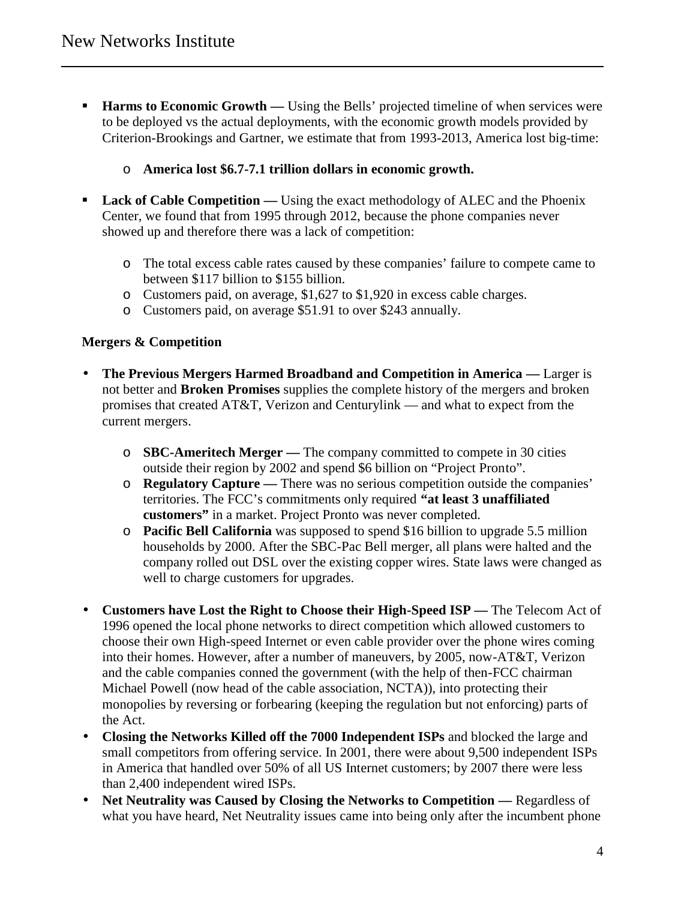- **Harms to Economic Growth —** Using the Bells' projected timeline of when services were to be deployed vs the actual deployments, with the economic growth models provided by Criterion-Brookings and Gartner, we estimate that from 1993-2013, America lost big-time:
	- o **America lost \$6.7-7.1 trillion dollars in economic growth.**
- **Lack of Cable Competition Using the exact methodology of ALEC and the Phoenix** Center, we found that from 1995 through 2012, because the phone companies never showed up and therefore there was a lack of competition:
	- o The total excess cable rates caused by these companies' failure to compete came to between \$117 billion to \$155 billion.
	- o Customers paid, on average, \$1,627 to \$1,920 in excess cable charges.
	- o Customers paid, on average \$51.91 to over \$243 annually.

### **Mergers & Competition**

- **The Previous Mergers Harmed Broadband and Competition in America —** Larger is not better and **Broken Promises** supplies the complete history of the mergers and broken promises that created AT&T, Verizon and Centurylink — and what to expect from the current mergers.
	- o **SBC-Ameritech Merger —** The company committed to compete in 30 cities outside their region by 2002 and spend \$6 billion on "Project Pronto".
	- o **Regulatory Capture —** There was no serious competition outside the companies' territories. The FCC's commitments only required **"at least 3 unaffiliated customers"** in a market. Project Pronto was never completed.
	- o **Pacific Bell California** was supposed to spend \$16 billion to upgrade 5.5 million households by 2000. After the SBC-Pac Bell merger, all plans were halted and the company rolled out DSL over the existing copper wires. State laws were changed as well to charge customers for upgrades.
- **Customers have Lost the Right to Choose their High-Speed ISP —** The Telecom Act of 1996 opened the local phone networks to direct competition which allowed customers to choose their own High-speed Internet or even cable provider over the phone wires coming into their homes. However, after a number of maneuvers, by 2005, now-AT&T, Verizon and the cable companies conned the government (with the help of then-FCC chairman Michael Powell (now head of the cable association, NCTA)), into protecting their monopolies by reversing or forbearing (keeping the regulation but not enforcing) parts of the Act.
- **Closing the Networks Killed off the 7000 Independent ISPs** and blocked the large and small competitors from offering service. In 2001, there were about 9,500 independent ISPs in America that handled over 50% of all US Internet customers; by 2007 there were less than 2,400 independent wired ISPs.
- **Net Neutrality was Caused by Closing the Networks to Competition —** Regardless of what you have heard, Net Neutrality issues came into being only after the incumbent phone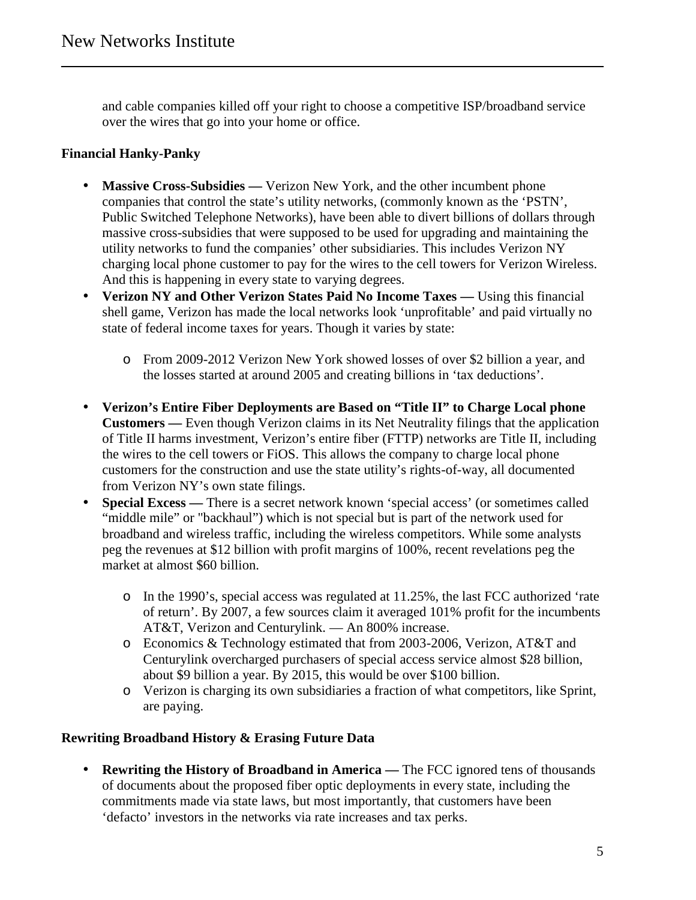and cable companies killed off your right to choose a competitive ISP/broadband service over the wires that go into your home or office.

# **Financial Hanky-Panky**

- Massive Cross-Subsidies Verizon New York, and the other incumbent phone companies that control the state's utility networks, (commonly known as the 'PSTN', Public Switched Telephone Networks), have been able to divert billions of dollars through massive cross-subsidies that were supposed to be used for upgrading and maintaining the utility networks to fund the companies' other subsidiaries. This includes Verizon NY charging local phone customer to pay for the wires to the cell towers for Verizon Wireless. And this is happening in every state to varying degrees.
- **Verizon NY and Other Verizon States Paid No Income Taxes —** Using this financial shell game, Verizon has made the local networks look 'unprofitable' and paid virtually no state of federal income taxes for years. Though it varies by state:
	- o From 2009-2012 Verizon New York showed losses of over \$2 billion a year, and the losses started at around 2005 and creating billions in 'tax deductions'.
- **Verizon's Entire Fiber Deployments are Based on "Title II" to Charge Local phone Customers —** Even though Verizon claims in its Net Neutrality filings that the application of Title II harms investment, Verizon's entire fiber (FTTP) networks are Title II, including the wires to the cell towers or FiOS. This allows the company to charge local phone customers for the construction and use the state utility's rights-of-way, all documented from Verizon NY's own state filings.
- **Special Excess** There is a secret network known 'special access' (or sometimes called "middle mile" or "backhaul") which is not special but is part of the network used for broadband and wireless traffic, including the wireless competitors. While some analysts peg the revenues at \$12 billion with profit margins of 100%, recent revelations peg the market at almost \$60 billion.
	- o In the 1990's, special access was regulated at 11.25%, the last FCC authorized 'rate of return'. By 2007, a few sources claim it averaged 101% profit for the incumbents AT&T, Verizon and Centurylink. — An 800% increase.
	- o Economics & Technology estimated that from 2003-2006, Verizon, AT&T and Centurylink overcharged purchasers of special access service almost \$28 billion, about \$9 billion a year. By 2015, this would be over \$100 billion.
	- o Verizon is charging its own subsidiaries a fraction of what competitors, like Sprint, are paying.

## **Rewriting Broadband History & Erasing Future Data**

 **Rewriting the History of Broadband in America —** The FCC ignored tens of thousands of documents about the proposed fiber optic deployments in every state, including the commitments made via state laws, but most importantly, that customers have been 'defacto' investors in the networks via rate increases and tax perks.